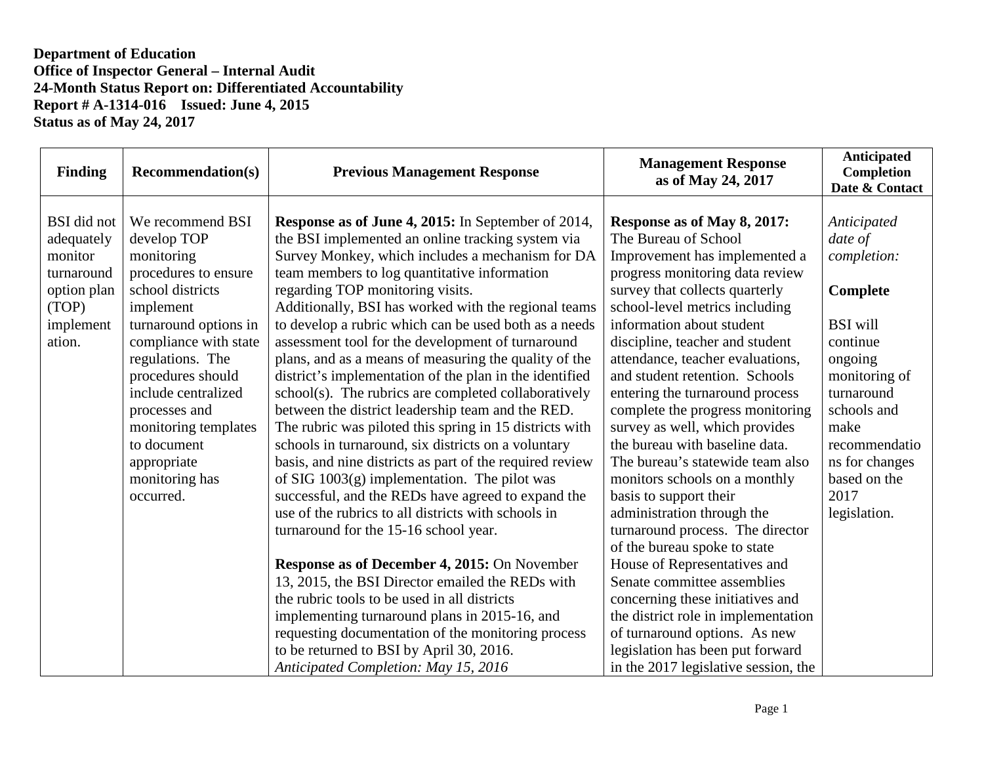| <b>Finding</b>                                                                                    | <b>Recommendation(s)</b>                                                                                                                                                                                                                                                                                                       | <b>Previous Management Response</b>                                                                                                                                                                                                                                                                                                                                                                                                                                                                                                                                                                                                                                                                                                                                                                                                                                                                                                                                                                                                                                                                                                                                                                                                                                                                                                                                                                | <b>Management Response</b><br>as of May 24, 2017                                                                                                                                                                                                                                                                                                                                                                                                                                                                                                                                                                                                                                                                                                                                                                                                                                                                                     | <b>Anticipated</b><br>Completion<br>Date & Contact                                                                                                                                                                           |
|---------------------------------------------------------------------------------------------------|--------------------------------------------------------------------------------------------------------------------------------------------------------------------------------------------------------------------------------------------------------------------------------------------------------------------------------|----------------------------------------------------------------------------------------------------------------------------------------------------------------------------------------------------------------------------------------------------------------------------------------------------------------------------------------------------------------------------------------------------------------------------------------------------------------------------------------------------------------------------------------------------------------------------------------------------------------------------------------------------------------------------------------------------------------------------------------------------------------------------------------------------------------------------------------------------------------------------------------------------------------------------------------------------------------------------------------------------------------------------------------------------------------------------------------------------------------------------------------------------------------------------------------------------------------------------------------------------------------------------------------------------------------------------------------------------------------------------------------------------|--------------------------------------------------------------------------------------------------------------------------------------------------------------------------------------------------------------------------------------------------------------------------------------------------------------------------------------------------------------------------------------------------------------------------------------------------------------------------------------------------------------------------------------------------------------------------------------------------------------------------------------------------------------------------------------------------------------------------------------------------------------------------------------------------------------------------------------------------------------------------------------------------------------------------------------|------------------------------------------------------------------------------------------------------------------------------------------------------------------------------------------------------------------------------|
| BSI did not<br>adequately<br>monitor<br>turnaround<br>option plan<br>(TOP)<br>implement<br>ation. | We recommend BSI<br>develop TOP<br>monitoring<br>procedures to ensure<br>school districts<br>implement<br>turnaround options in<br>compliance with state<br>regulations. The<br>procedures should<br>include centralized<br>processes and<br>monitoring templates<br>to document<br>appropriate<br>monitoring has<br>occurred. | <b>Response as of June 4, 2015:</b> In September of 2014,<br>the BSI implemented an online tracking system via<br>Survey Monkey, which includes a mechanism for DA<br>team members to log quantitative information<br>regarding TOP monitoring visits.<br>Additionally, BSI has worked with the regional teams<br>to develop a rubric which can be used both as a needs<br>assessment tool for the development of turnaround<br>plans, and as a means of measuring the quality of the<br>district's implementation of the plan in the identified<br>school(s). The rubrics are completed collaboratively<br>between the district leadership team and the RED.<br>The rubric was piloted this spring in 15 districts with<br>schools in turnaround, six districts on a voluntary<br>basis, and nine districts as part of the required review<br>of SIG $1003(g)$ implementation. The pilot was<br>successful, and the REDs have agreed to expand the<br>use of the rubrics to all districts with schools in<br>turnaround for the 15-16 school year.<br>Response as of December 4, 2015: On November<br>13, 2015, the BSI Director emailed the REDs with<br>the rubric tools to be used in all districts<br>implementing turnaround plans in 2015-16, and<br>requesting documentation of the monitoring process<br>to be returned to BSI by April 30, 2016.<br>Anticipated Completion: May 15, 2016 | Response as of May 8, 2017:<br>The Bureau of School<br>Improvement has implemented a<br>progress monitoring data review<br>survey that collects quarterly<br>school-level metrics including<br>information about student<br>discipline, teacher and student<br>attendance, teacher evaluations,<br>and student retention. Schools<br>entering the turnaround process<br>complete the progress monitoring<br>survey as well, which provides<br>the bureau with baseline data.<br>The bureau's statewide team also<br>monitors schools on a monthly<br>basis to support their<br>administration through the<br>turnaround process. The director<br>of the bureau spoke to state<br>House of Representatives and<br>Senate committee assemblies<br>concerning these initiatives and<br>the district role in implementation<br>of turnaround options. As new<br>legislation has been put forward<br>in the 2017 legislative session, the | Anticipated<br>date of<br>completion:<br>Complete<br><b>BSI</b> will<br>continue<br>ongoing<br>monitoring of<br>turnaround<br>schools and<br>make<br>recommendatio<br>ns for changes<br>based on the<br>2017<br>legislation. |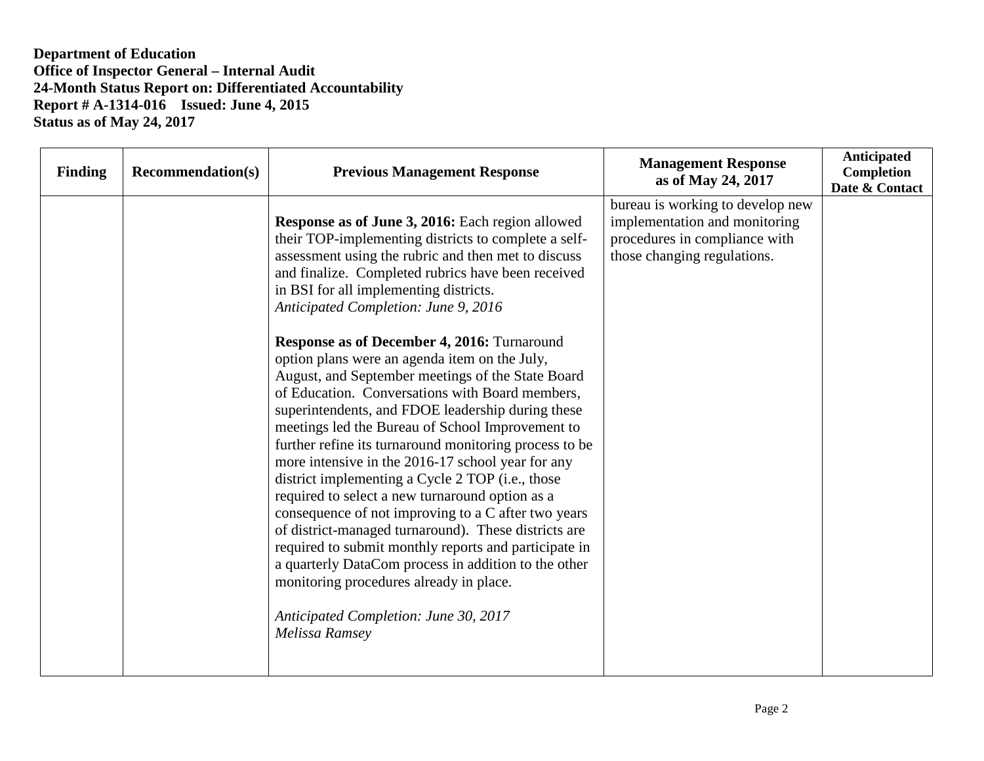| <b>Finding</b> | <b>Recommendation(s)</b> | <b>Previous Management Response</b>                                                                                                                                                                                                                                                                                                                                                                                                                                                                                                                                                                                                                                                                                                                                                                                                                                                                                                                                                                                                                                                                                                                                                         | <b>Management Response</b><br>as of May 24, 2017                                                                                  | Anticipated<br>Completion<br>Date & Contact |
|----------------|--------------------------|---------------------------------------------------------------------------------------------------------------------------------------------------------------------------------------------------------------------------------------------------------------------------------------------------------------------------------------------------------------------------------------------------------------------------------------------------------------------------------------------------------------------------------------------------------------------------------------------------------------------------------------------------------------------------------------------------------------------------------------------------------------------------------------------------------------------------------------------------------------------------------------------------------------------------------------------------------------------------------------------------------------------------------------------------------------------------------------------------------------------------------------------------------------------------------------------|-----------------------------------------------------------------------------------------------------------------------------------|---------------------------------------------|
|                |                          | Response as of June 3, 2016: Each region allowed<br>their TOP-implementing districts to complete a self-<br>assessment using the rubric and then met to discuss<br>and finalize. Completed rubrics have been received<br>in BSI for all implementing districts.<br>Anticipated Completion: June 9, 2016<br><b>Response as of December 4, 2016: Turnaround</b><br>option plans were an agenda item on the July,<br>August, and September meetings of the State Board<br>of Education. Conversations with Board members,<br>superintendents, and FDOE leadership during these<br>meetings led the Bureau of School Improvement to<br>further refine its turnaround monitoring process to be<br>more intensive in the 2016-17 school year for any<br>district implementing a Cycle 2 TOP (i.e., those<br>required to select a new turnaround option as a<br>consequence of not improving to a C after two years<br>of district-managed turnaround). These districts are<br>required to submit monthly reports and participate in<br>a quarterly DataCom process in addition to the other<br>monitoring procedures already in place.<br>Anticipated Completion: June 30, 2017<br>Melissa Ramsey | bureau is working to develop new<br>implementation and monitoring<br>procedures in compliance with<br>those changing regulations. |                                             |
|                |                          |                                                                                                                                                                                                                                                                                                                                                                                                                                                                                                                                                                                                                                                                                                                                                                                                                                                                                                                                                                                                                                                                                                                                                                                             |                                                                                                                                   |                                             |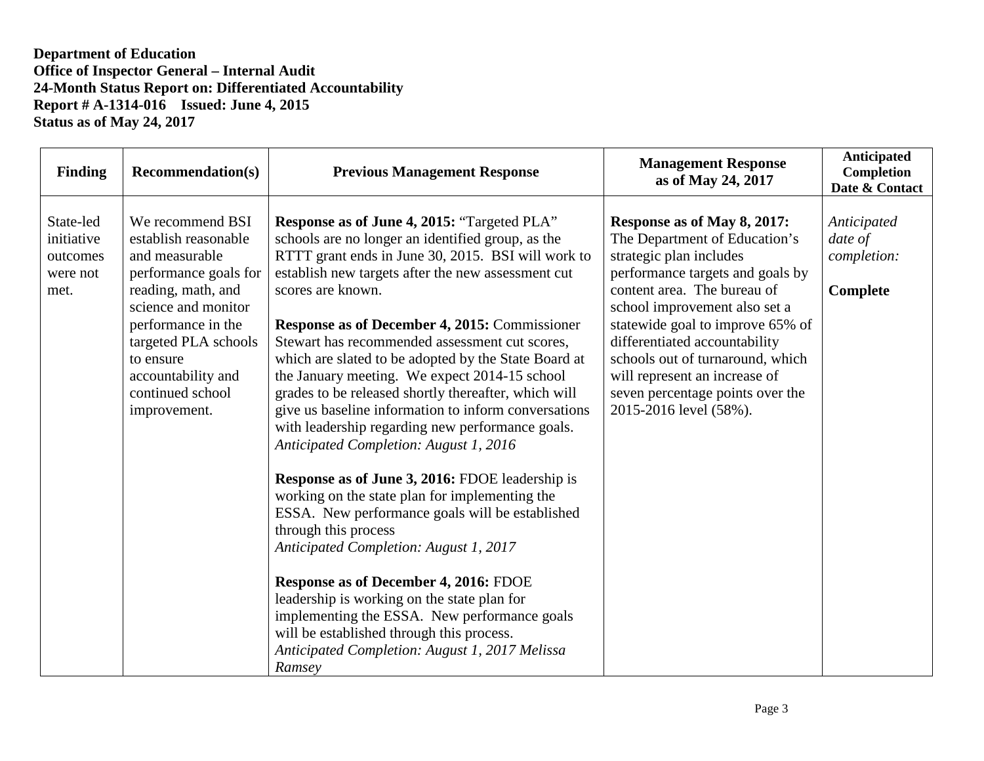| <b>Finding</b>                                          | <b>Recommendation(s)</b>                                                                                                                                                                                                                              | <b>Previous Management Response</b>                                                                                                                                                                                                                                                                                                                                                                                                                                                                                                                                                                                                                                                                                                                                                                                                                                                                                                                                                                                                                                                                                                                  | <b>Management Response</b><br>as of May 24, 2017                                                                                                                                                                                                                                                                                                                                                    | Anticipated<br><b>Completion</b><br>Date & Contact |
|---------------------------------------------------------|-------------------------------------------------------------------------------------------------------------------------------------------------------------------------------------------------------------------------------------------------------|------------------------------------------------------------------------------------------------------------------------------------------------------------------------------------------------------------------------------------------------------------------------------------------------------------------------------------------------------------------------------------------------------------------------------------------------------------------------------------------------------------------------------------------------------------------------------------------------------------------------------------------------------------------------------------------------------------------------------------------------------------------------------------------------------------------------------------------------------------------------------------------------------------------------------------------------------------------------------------------------------------------------------------------------------------------------------------------------------------------------------------------------------|-----------------------------------------------------------------------------------------------------------------------------------------------------------------------------------------------------------------------------------------------------------------------------------------------------------------------------------------------------------------------------------------------------|----------------------------------------------------|
| State-led<br>initiative<br>outcomes<br>were not<br>met. | We recommend BSI<br>establish reasonable<br>and measurable<br>performance goals for<br>reading, math, and<br>science and monitor<br>performance in the<br>targeted PLA schools<br>to ensure<br>accountability and<br>continued school<br>improvement. | Response as of June 4, 2015: "Targeted PLA"<br>schools are no longer an identified group, as the<br>RTTT grant ends in June 30, 2015. BSI will work to<br>establish new targets after the new assessment cut<br>scores are known.<br><b>Response as of December 4, 2015: Commissioner</b><br>Stewart has recommended assessment cut scores,<br>which are slated to be adopted by the State Board at<br>the January meeting. We expect 2014-15 school<br>grades to be released shortly thereafter, which will<br>give us baseline information to inform conversations<br>with leadership regarding new performance goals.<br>Anticipated Completion: August 1, 2016<br><b>Response as of June 3, 2016: FDOE leadership is</b><br>working on the state plan for implementing the<br>ESSA. New performance goals will be established<br>through this process<br>Anticipated Completion: August 1, 2017<br>Response as of December 4, 2016: FDOE<br>leadership is working on the state plan for<br>implementing the ESSA. New performance goals<br>will be established through this process.<br>Anticipated Completion: August 1, 2017 Melissa<br>Ramsey | Response as of May 8, 2017:<br>The Department of Education's<br>strategic plan includes<br>performance targets and goals by<br>content area. The bureau of<br>school improvement also set a<br>statewide goal to improve 65% of<br>differentiated accountability<br>schools out of turnaround, which<br>will represent an increase of<br>seven percentage points over the<br>2015-2016 level (58%). | Anticipated<br>date of<br>completion:<br>Complete  |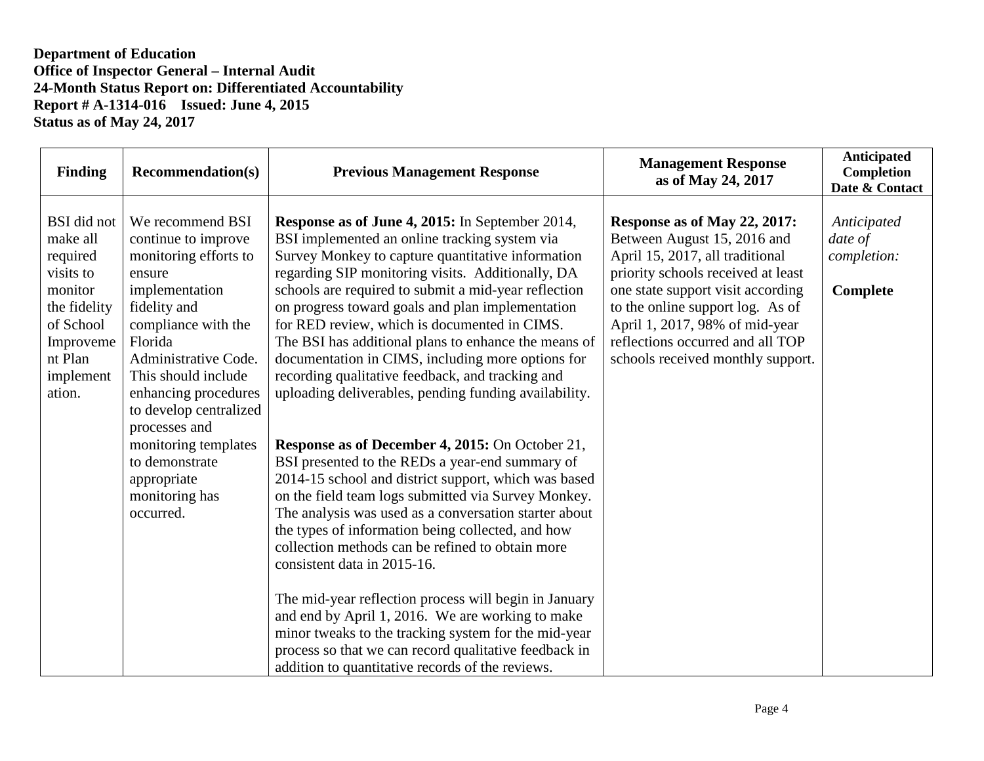| <b>Finding</b>                                                                                                                                 | <b>Recommendation(s)</b>                                                                                                                                                                                                                                                                                                                                 | <b>Previous Management Response</b>                                                                                                                                                                                                                                                                                                                                                                                                                                                                                                                                                                                                                                                                                                                                                                                                                                                                                                                                                                                                                                             | <b>Management Response</b><br>as of May 24, 2017                                                                                                                                                                                                                                                                         | <b>Anticipated</b><br>Completion<br>Date & Contact |
|------------------------------------------------------------------------------------------------------------------------------------------------|----------------------------------------------------------------------------------------------------------------------------------------------------------------------------------------------------------------------------------------------------------------------------------------------------------------------------------------------------------|---------------------------------------------------------------------------------------------------------------------------------------------------------------------------------------------------------------------------------------------------------------------------------------------------------------------------------------------------------------------------------------------------------------------------------------------------------------------------------------------------------------------------------------------------------------------------------------------------------------------------------------------------------------------------------------------------------------------------------------------------------------------------------------------------------------------------------------------------------------------------------------------------------------------------------------------------------------------------------------------------------------------------------------------------------------------------------|--------------------------------------------------------------------------------------------------------------------------------------------------------------------------------------------------------------------------------------------------------------------------------------------------------------------------|----------------------------------------------------|
| <b>BSI</b> did not<br>make all<br>required<br>visits to<br>monitor<br>the fidelity<br>of School<br>Improveme<br>nt Plan<br>implement<br>ation. | We recommend BSI<br>continue to improve<br>monitoring efforts to<br>ensure<br>implementation<br>fidelity and<br>compliance with the<br>Florida<br>Administrative Code.<br>This should include<br>enhancing procedures<br>to develop centralized<br>processes and<br>monitoring templates<br>to demonstrate<br>appropriate<br>monitoring has<br>occurred. | Response as of June 4, 2015: In September 2014,<br>BSI implemented an online tracking system via<br>Survey Monkey to capture quantitative information<br>regarding SIP monitoring visits. Additionally, DA<br>schools are required to submit a mid-year reflection<br>on progress toward goals and plan implementation<br>for RED review, which is documented in CIMS.<br>The BSI has additional plans to enhance the means of<br>documentation in CIMS, including more options for<br>recording qualitative feedback, and tracking and<br>uploading deliverables, pending funding availability.<br>Response as of December 4, 2015: On October 21,<br>BSI presented to the REDs a year-end summary of<br>2014-15 school and district support, which was based<br>on the field team logs submitted via Survey Monkey.<br>The analysis was used as a conversation starter about<br>the types of information being collected, and how<br>collection methods can be refined to obtain more<br>consistent data in 2015-16.<br>The mid-year reflection process will begin in January | Response as of May 22, 2017:<br>Between August 15, 2016 and<br>April 15, 2017, all traditional<br>priority schools received at least<br>one state support visit according<br>to the online support log. As of<br>April 1, 2017, 98% of mid-year<br>reflections occurred and all TOP<br>schools received monthly support. | Anticipated<br>date of<br>completion:<br>Complete  |
|                                                                                                                                                |                                                                                                                                                                                                                                                                                                                                                          | and end by April 1, 2016. We are working to make<br>minor tweaks to the tracking system for the mid-year<br>process so that we can record qualitative feedback in<br>addition to quantitative records of the reviews.                                                                                                                                                                                                                                                                                                                                                                                                                                                                                                                                                                                                                                                                                                                                                                                                                                                           |                                                                                                                                                                                                                                                                                                                          |                                                    |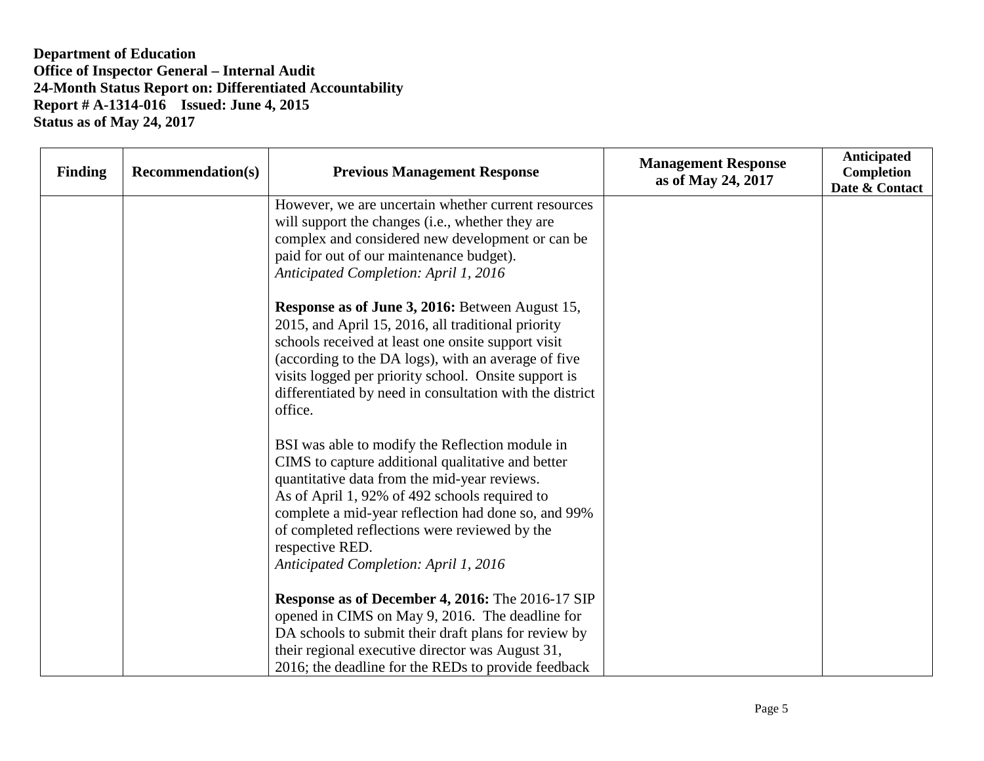| <b>Finding</b> | <b>Recommendation(s)</b> | <b>Previous Management Response</b>                                                                                                                                                                                                                                                                                                                                       | <b>Management Response</b><br>as of May 24, 2017 | <b>Anticipated</b><br>Completion<br>Date & Contact |
|----------------|--------------------------|---------------------------------------------------------------------------------------------------------------------------------------------------------------------------------------------------------------------------------------------------------------------------------------------------------------------------------------------------------------------------|--------------------------------------------------|----------------------------------------------------|
|                |                          | However, we are uncertain whether current resources<br>will support the changes (i.e., whether they are<br>complex and considered new development or can be<br>paid for out of our maintenance budget).<br>Anticipated Completion: April 1, 2016                                                                                                                          |                                                  |                                                    |
|                |                          | Response as of June 3, 2016: Between August 15,<br>2015, and April 15, 2016, all traditional priority<br>schools received at least one onsite support visit<br>(according to the DA logs), with an average of five<br>visits logged per priority school. Onsite support is<br>differentiated by need in consultation with the district<br>office.                         |                                                  |                                                    |
|                |                          | BSI was able to modify the Reflection module in<br>CIMS to capture additional qualitative and better<br>quantitative data from the mid-year reviews.<br>As of April 1, 92% of 492 schools required to<br>complete a mid-year reflection had done so, and 99%<br>of completed reflections were reviewed by the<br>respective RED.<br>Anticipated Completion: April 1, 2016 |                                                  |                                                    |
|                |                          | Response as of December 4, 2016: The 2016-17 SIP<br>opened in CIMS on May 9, 2016. The deadline for<br>DA schools to submit their draft plans for review by<br>their regional executive director was August 31,<br>2016; the deadline for the REDs to provide feedback                                                                                                    |                                                  |                                                    |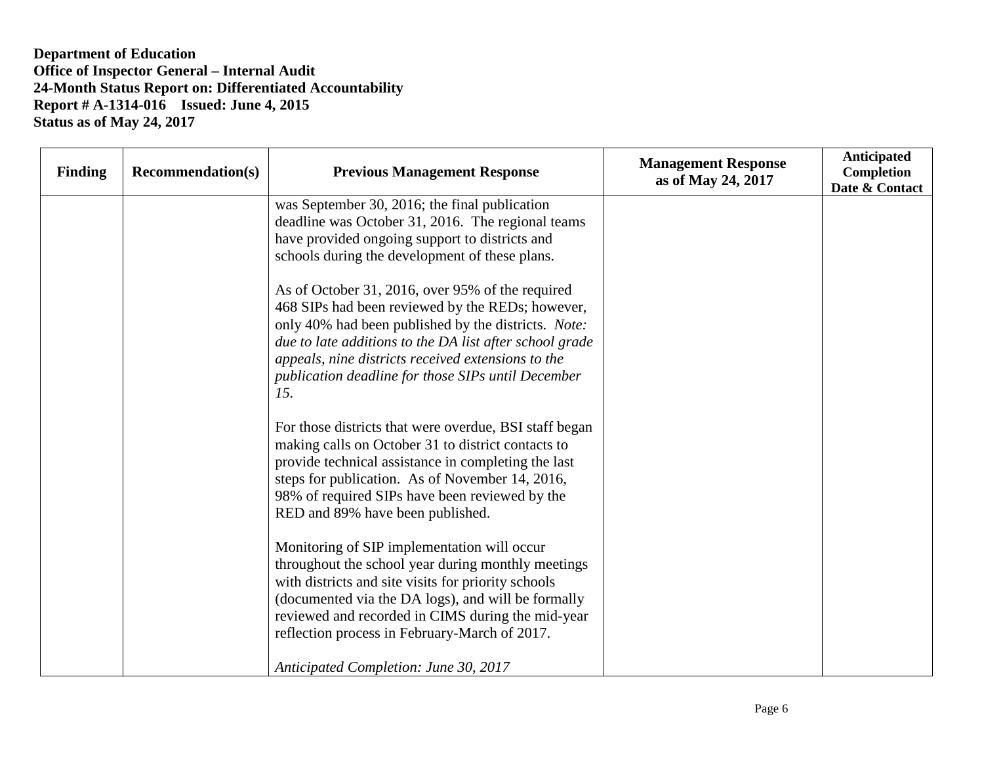| <b>Finding</b> | <b>Recommendation(s)</b> | <b>Previous Management Response</b>                     | <b>Management Response</b><br>as of May 24, 2017 | Anticipated<br>Completion<br>Date & Contact |
|----------------|--------------------------|---------------------------------------------------------|--------------------------------------------------|---------------------------------------------|
|                |                          | was September 30, 2016; the final publication           |                                                  |                                             |
|                |                          | deadline was October 31, 2016. The regional teams       |                                                  |                                             |
|                |                          | have provided ongoing support to districts and          |                                                  |                                             |
|                |                          | schools during the development of these plans.          |                                                  |                                             |
|                |                          | As of October 31, 2016, over 95% of the required        |                                                  |                                             |
|                |                          | 468 SIPs had been reviewed by the REDs; however,        |                                                  |                                             |
|                |                          | only 40% had been published by the districts. Note:     |                                                  |                                             |
|                |                          | due to late additions to the DA list after school grade |                                                  |                                             |
|                |                          | appeals, nine districts received extensions to the      |                                                  |                                             |
|                |                          | publication deadline for those SIPs until December      |                                                  |                                             |
|                |                          | 15.                                                     |                                                  |                                             |
|                |                          | For those districts that were overdue, BSI staff began  |                                                  |                                             |
|                |                          | making calls on October 31 to district contacts to      |                                                  |                                             |
|                |                          | provide technical assistance in completing the last     |                                                  |                                             |
|                |                          | steps for publication. As of November 14, 2016,         |                                                  |                                             |
|                |                          | 98% of required SIPs have been reviewed by the          |                                                  |                                             |
|                |                          | RED and 89% have been published.                        |                                                  |                                             |
|                |                          | Monitoring of SIP implementation will occur             |                                                  |                                             |
|                |                          | throughout the school year during monthly meetings      |                                                  |                                             |
|                |                          | with districts and site visits for priority schools     |                                                  |                                             |
|                |                          | (documented via the DA logs), and will be formally      |                                                  |                                             |
|                |                          | reviewed and recorded in CIMS during the mid-year       |                                                  |                                             |
|                |                          | reflection process in February-March of 2017.           |                                                  |                                             |
|                |                          | Anticipated Completion: June 30, 2017                   |                                                  |                                             |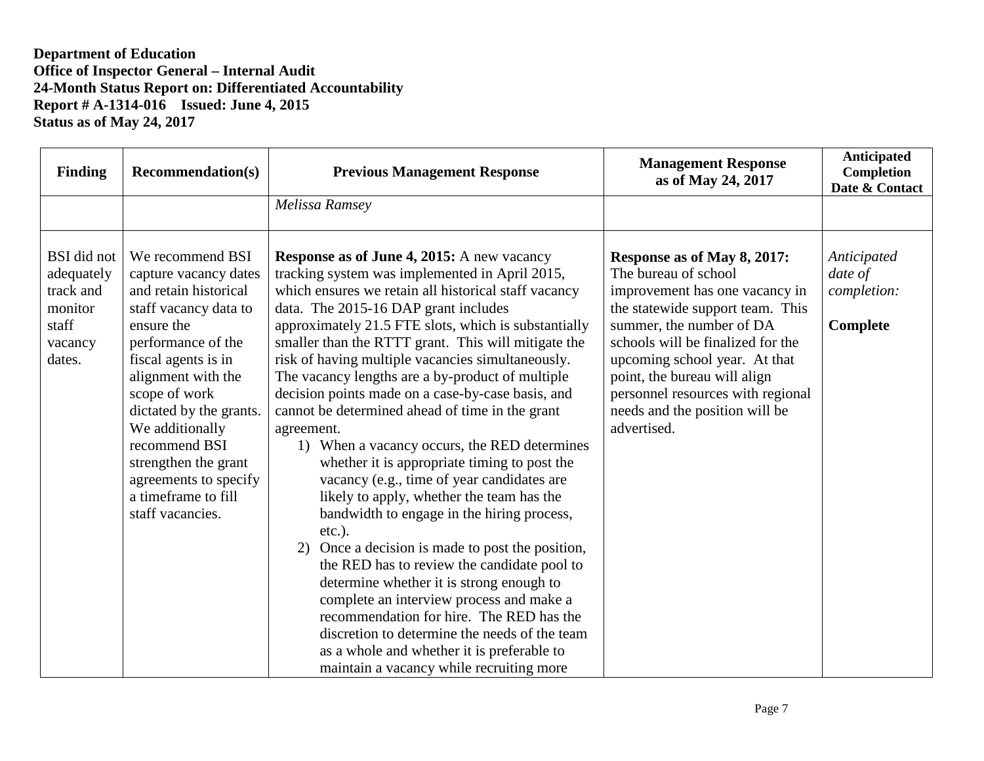| <b>Finding</b>                                                                  | <b>Recommendation(s)</b>                                                                                                                                                                                                                                                                                                                                 | <b>Previous Management Response</b>                                                                                                                                                                                                                                                                                                                                                                                                                                                                                                                                                                                                                                                                                                                                                                                                                                                                                                                                                                                                                                                                                                                                                    | <b>Management Response</b><br>as of May 24, 2017                                                                                                                                                                                                                                                                                                  | <b>Anticipated</b><br>Completion<br>Date & Contact |
|---------------------------------------------------------------------------------|----------------------------------------------------------------------------------------------------------------------------------------------------------------------------------------------------------------------------------------------------------------------------------------------------------------------------------------------------------|----------------------------------------------------------------------------------------------------------------------------------------------------------------------------------------------------------------------------------------------------------------------------------------------------------------------------------------------------------------------------------------------------------------------------------------------------------------------------------------------------------------------------------------------------------------------------------------------------------------------------------------------------------------------------------------------------------------------------------------------------------------------------------------------------------------------------------------------------------------------------------------------------------------------------------------------------------------------------------------------------------------------------------------------------------------------------------------------------------------------------------------------------------------------------------------|---------------------------------------------------------------------------------------------------------------------------------------------------------------------------------------------------------------------------------------------------------------------------------------------------------------------------------------------------|----------------------------------------------------|
|                                                                                 |                                                                                                                                                                                                                                                                                                                                                          | Melissa Ramsey                                                                                                                                                                                                                                                                                                                                                                                                                                                                                                                                                                                                                                                                                                                                                                                                                                                                                                                                                                                                                                                                                                                                                                         |                                                                                                                                                                                                                                                                                                                                                   |                                                    |
| BSI did not<br>adequately<br>track and<br>monitor<br>staff<br>vacancy<br>dates. | We recommend BSI<br>capture vacancy dates<br>and retain historical<br>staff vacancy data to<br>ensure the<br>performance of the<br>fiscal agents is in<br>alignment with the<br>scope of work<br>dictated by the grants.<br>We additionally<br>recommend BSI<br>strengthen the grant<br>agreements to specify<br>a timeframe to fill<br>staff vacancies. | <b>Response as of June 4, 2015:</b> A new vacancy<br>tracking system was implemented in April 2015,<br>which ensures we retain all historical staff vacancy<br>data. The 2015-16 DAP grant includes<br>approximately 21.5 FTE slots, which is substantially<br>smaller than the RTTT grant. This will mitigate the<br>risk of having multiple vacancies simultaneously.<br>The vacancy lengths are a by-product of multiple<br>decision points made on a case-by-case basis, and<br>cannot be determined ahead of time in the grant<br>agreement.<br>1) When a vacancy occurs, the RED determines<br>whether it is appropriate timing to post the<br>vacancy (e.g., time of year candidates are<br>likely to apply, whether the team has the<br>bandwidth to engage in the hiring process,<br>$etc.$ ).<br>Once a decision is made to post the position,<br>the RED has to review the candidate pool to<br>determine whether it is strong enough to<br>complete an interview process and make a<br>recommendation for hire. The RED has the<br>discretion to determine the needs of the team<br>as a whole and whether it is preferable to<br>maintain a vacancy while recruiting more | Response as of May 8, 2017:<br>The bureau of school<br>improvement has one vacancy in<br>the statewide support team. This<br>summer, the number of DA<br>schools will be finalized for the<br>upcoming school year. At that<br>point, the bureau will align<br>personnel resources with regional<br>needs and the position will be<br>advertised. | Anticipated<br>date of<br>completion:<br>Complete  |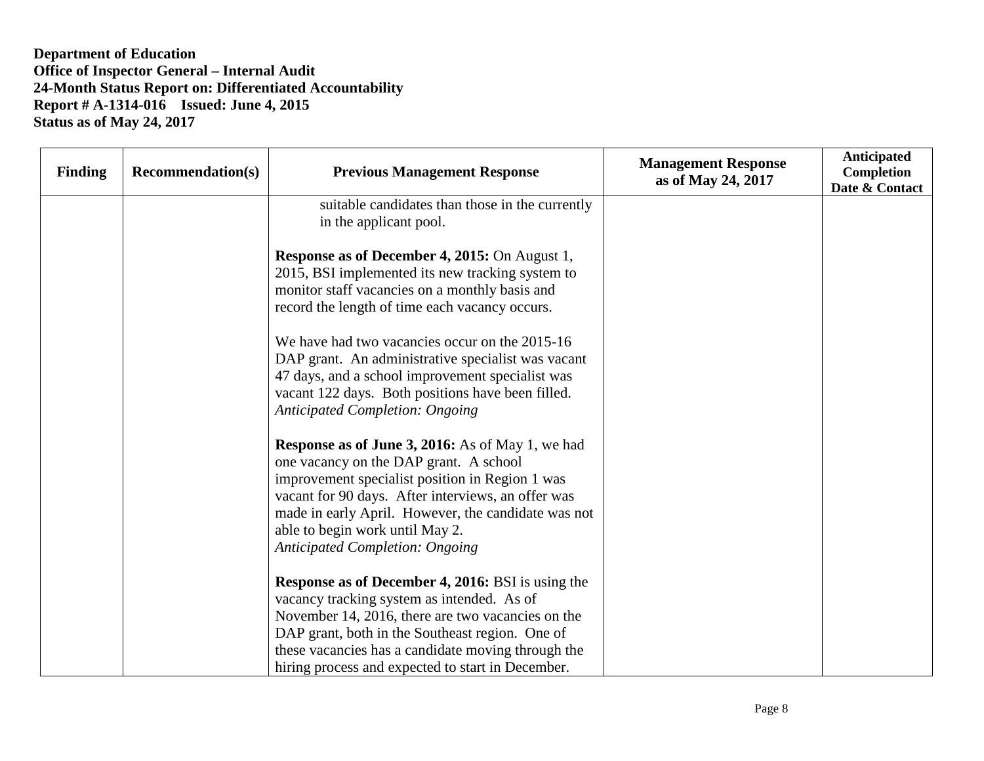| <b>Finding</b> | <b>Recommendation(s)</b> | <b>Previous Management Response</b>                                                                                                                                                                                                                                                                                                            | <b>Management Response</b><br>as of May 24, 2017 | <b>Anticipated</b><br>Completion<br>Date & Contact |
|----------------|--------------------------|------------------------------------------------------------------------------------------------------------------------------------------------------------------------------------------------------------------------------------------------------------------------------------------------------------------------------------------------|--------------------------------------------------|----------------------------------------------------|
|                |                          | suitable candidates than those in the currently<br>in the applicant pool.                                                                                                                                                                                                                                                                      |                                                  |                                                    |
|                |                          | <b>Response as of December 4, 2015:</b> On August 1,<br>2015, BSI implemented its new tracking system to<br>monitor staff vacancies on a monthly basis and<br>record the length of time each vacancy occurs.                                                                                                                                   |                                                  |                                                    |
|                |                          | We have had two vacancies occur on the 2015-16<br>DAP grant. An administrative specialist was vacant<br>47 days, and a school improvement specialist was<br>vacant 122 days. Both positions have been filled.<br><b>Anticipated Completion: Ongoing</b>                                                                                        |                                                  |                                                    |
|                |                          | <b>Response as of June 3, 2016:</b> As of May 1, we had<br>one vacancy on the DAP grant. A school<br>improvement specialist position in Region 1 was<br>vacant for 90 days. After interviews, an offer was<br>made in early April. However, the candidate was not<br>able to begin work until May 2.<br><b>Anticipated Completion: Ongoing</b> |                                                  |                                                    |
|                |                          | <b>Response as of December 4, 2016:</b> BSI is using the<br>vacancy tracking system as intended. As of<br>November 14, 2016, there are two vacancies on the<br>DAP grant, both in the Southeast region. One of<br>these vacancies has a candidate moving through the<br>hiring process and expected to start in December.                      |                                                  |                                                    |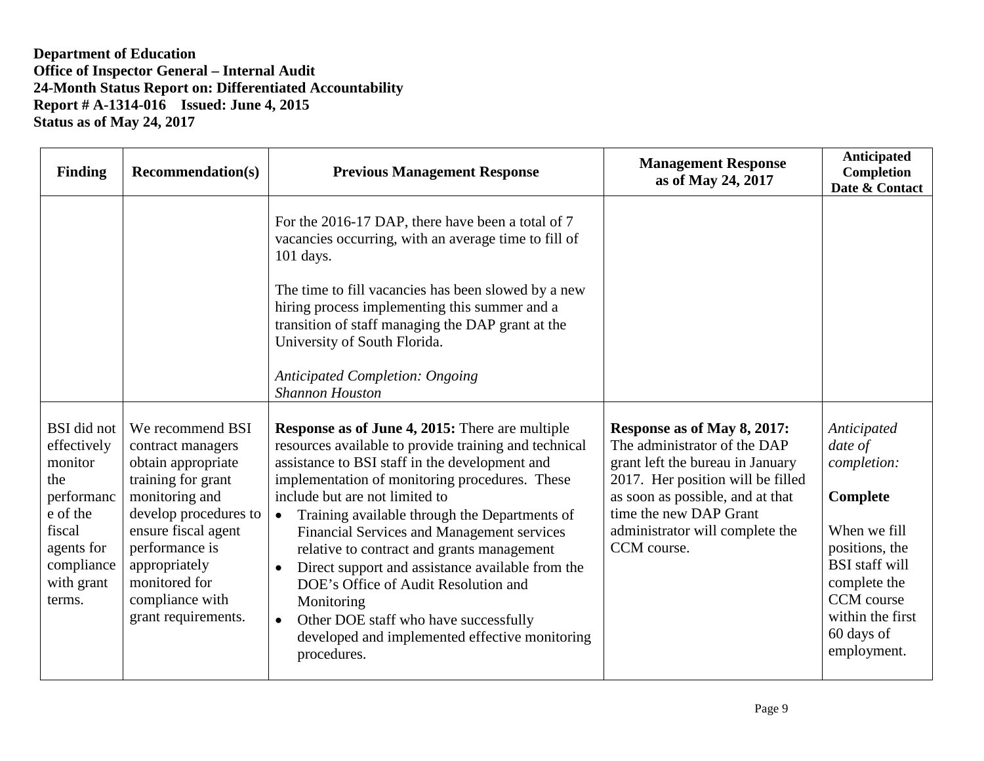| <b>Finding</b>                                                                                                                       | <b>Recommendation(s)</b>                                                                                                                                                                                                                          | <b>Previous Management Response</b>                                                                                                                                                                                                                                                                                                                                                                                                                                                                                                                                                                                                              | <b>Management Response</b><br>as of May 24, 2017                                                                                                                                                                                                     | Anticipated<br>Completion<br>Date & Contact                                                                                                                                                 |
|--------------------------------------------------------------------------------------------------------------------------------------|---------------------------------------------------------------------------------------------------------------------------------------------------------------------------------------------------------------------------------------------------|--------------------------------------------------------------------------------------------------------------------------------------------------------------------------------------------------------------------------------------------------------------------------------------------------------------------------------------------------------------------------------------------------------------------------------------------------------------------------------------------------------------------------------------------------------------------------------------------------------------------------------------------------|------------------------------------------------------------------------------------------------------------------------------------------------------------------------------------------------------------------------------------------------------|---------------------------------------------------------------------------------------------------------------------------------------------------------------------------------------------|
|                                                                                                                                      |                                                                                                                                                                                                                                                   | For the 2016-17 DAP, there have been a total of 7<br>vacancies occurring, with an average time to fill of<br>$101$ days.                                                                                                                                                                                                                                                                                                                                                                                                                                                                                                                         |                                                                                                                                                                                                                                                      |                                                                                                                                                                                             |
|                                                                                                                                      |                                                                                                                                                                                                                                                   | The time to fill vacancies has been slowed by a new<br>hiring process implementing this summer and a<br>transition of staff managing the DAP grant at the<br>University of South Florida.                                                                                                                                                                                                                                                                                                                                                                                                                                                        |                                                                                                                                                                                                                                                      |                                                                                                                                                                                             |
|                                                                                                                                      |                                                                                                                                                                                                                                                   | <b>Anticipated Completion: Ongoing</b><br><b>Shannon Houston</b>                                                                                                                                                                                                                                                                                                                                                                                                                                                                                                                                                                                 |                                                                                                                                                                                                                                                      |                                                                                                                                                                                             |
| BSI did not<br>effectively<br>monitor<br>the<br>performanc<br>e of the<br>fiscal<br>agents for<br>compliance<br>with grant<br>terms. | We recommend BSI<br>contract managers<br>obtain appropriate<br>training for grant<br>monitoring and<br>develop procedures to<br>ensure fiscal agent<br>performance is<br>appropriately<br>monitored for<br>compliance with<br>grant requirements. | <b>Response as of June 4, 2015:</b> There are multiple<br>resources available to provide training and technical<br>assistance to BSI staff in the development and<br>implementation of monitoring procedures. These<br>include but are not limited to<br>Training available through the Departments of<br>$\bullet$<br>Financial Services and Management services<br>relative to contract and grants management<br>Direct support and assistance available from the<br>DOE's Office of Audit Resolution and<br>Monitoring<br>Other DOE staff who have successfully<br>$\bullet$<br>developed and implemented effective monitoring<br>procedures. | Response as of May 8, 2017:<br>The administrator of the DAP<br>grant left the bureau in January<br>2017. Her position will be filled<br>as soon as possible, and at that<br>time the new DAP Grant<br>administrator will complete the<br>CCM course. | Anticipated<br>date of<br>completion:<br>Complete<br>When we fill<br>positions, the<br><b>BSI</b> staff will<br>complete the<br>CCM course<br>within the first<br>60 days of<br>employment. |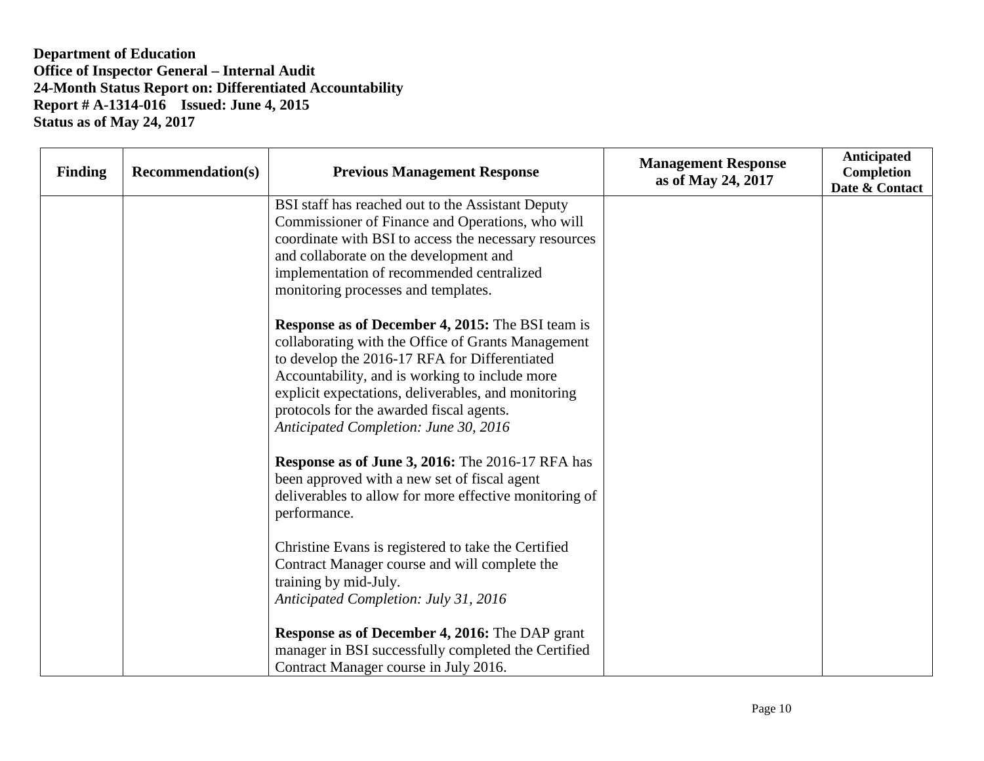| <b>Finding</b> | <b>Recommendation(s)</b> | <b>Previous Management Response</b>                                                                                                                                                                                                                                                                                                                          | <b>Management Response</b><br>as of May 24, 2017 | <b>Anticipated</b><br>Completion<br>Date & Contact |
|----------------|--------------------------|--------------------------------------------------------------------------------------------------------------------------------------------------------------------------------------------------------------------------------------------------------------------------------------------------------------------------------------------------------------|--------------------------------------------------|----------------------------------------------------|
|                |                          | BSI staff has reached out to the Assistant Deputy<br>Commissioner of Finance and Operations, who will<br>coordinate with BSI to access the necessary resources<br>and collaborate on the development and<br>implementation of recommended centralized<br>monitoring processes and templates.                                                                 |                                                  |                                                    |
|                |                          | <b>Response as of December 4, 2015:</b> The BSI team is<br>collaborating with the Office of Grants Management<br>to develop the 2016-17 RFA for Differentiated<br>Accountability, and is working to include more<br>explicit expectations, deliverables, and monitoring<br>protocols for the awarded fiscal agents.<br>Anticipated Completion: June 30, 2016 |                                                  |                                                    |
|                |                          | <b>Response as of June 3, 2016:</b> The 2016-17 RFA has<br>been approved with a new set of fiscal agent<br>deliverables to allow for more effective monitoring of<br>performance.                                                                                                                                                                            |                                                  |                                                    |
|                |                          | Christine Evans is registered to take the Certified<br>Contract Manager course and will complete the<br>training by mid-July.<br>Anticipated Completion: July 31, 2016                                                                                                                                                                                       |                                                  |                                                    |
|                |                          | <b>Response as of December 4, 2016: The DAP grant</b><br>manager in BSI successfully completed the Certified<br>Contract Manager course in July 2016.                                                                                                                                                                                                        |                                                  |                                                    |